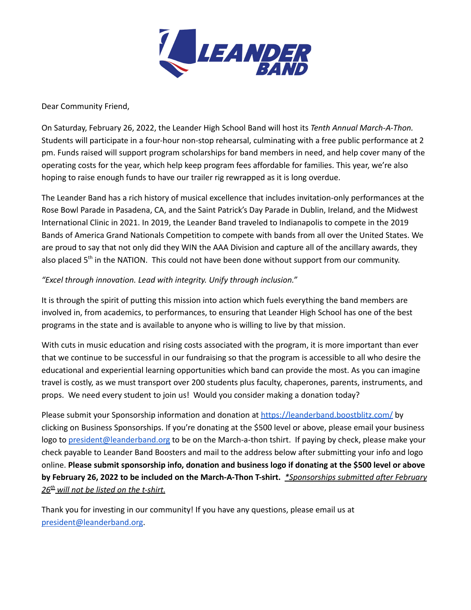

Dear Community Friend,

On Saturday, February 26, 2022, the Leander High School Band will host its *Tenth Annual March-A-Thon.* Students will participate in a four-hour non-stop rehearsal, culminating with a free public performance at 2 pm. Funds raised will support program scholarships for band members in need, and help cover many of the operating costs for the year, which help keep program fees affordable for families. This year, we're also hoping to raise enough funds to have our trailer rig rewrapped as it is long overdue.

The Leander Band has a rich history of musical excellence that includes invitation-only performances at the Rose Bowl Parade in Pasadena, CA, and the Saint Patrick's Day Parade in Dublin, Ireland, and the Midwest International Clinic in 2021. In 2019, the Leander Band traveled to Indianapolis to compete in the 2019 Bands of America Grand Nationals Competition to compete with bands from all over the United States. We are proud to say that not only did they WIN the AAA Division and capture all of the ancillary awards, they also placed 5<sup>th</sup> in the NATION. This could not have been done without support from our community.

#### *"Excel through innovation. Lead with integrity. Unify through inclusion."*

It is through the spirit of putting this mission into action which fuels everything the band members are involved in, from academics, to performances, to ensuring that Leander High School has one of the best programs in the state and is available to anyone who is willing to live by that mission.

With cuts in music education and rising costs associated with the program, it is more important than ever that we continue to be successful in our fundraising so that the program is accessible to all who desire the educational and experiential learning opportunities which band can provide the most. As you can imagine travel is costly, as we must transport over 200 students plus faculty, chaperones, parents, instruments, and props. We need every student to join us! Would you consider making a donation today?

Please submit your Sponsorship information and donation at <https://leanderband.boostblitz.com/> by clicking on Business Sponsorships. If you're donating at the \$500 level or above, please email your business logo to [president@leanderband.org](mailto:president@leanderband.org) to be on the March-a-thon tshirt. If paying by check, please make your check payable to Leander Band Boosters and mail to the address below after submitting your info and logo online. **Please submit sponsorship info, donation and business logo if donating at the \$500 level or above by February 26, 2022 to be included on the March-A-Thon T-shirt.** *\*Sponsorships submitted after February 26 th will not be listed on the t-shirt.*

Thank you for investing in our community! If you have any questions, please email us at [president@leanderband.org](mailto:president@leanderband.org).